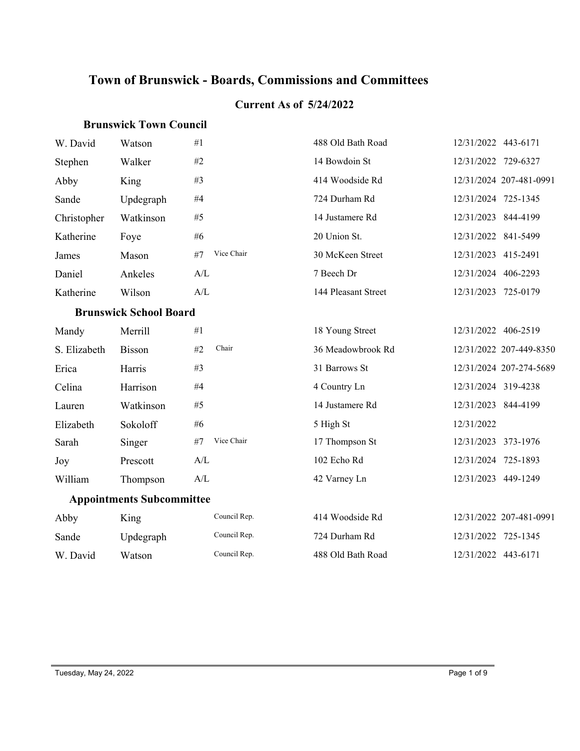# **Town of Brunswick - Boards, Commissions and Committees**

#### **Current As of 5/24/2022**

#### **Brunswick Town Council**

| W. David     | Watson                           | #1                                                | 488 Old Bath Road   | 12/31/2022 443-6171     |
|--------------|----------------------------------|---------------------------------------------------|---------------------|-------------------------|
| Stephen      | Walker                           | #2                                                | 14 Bowdoin St       | 12/31/2022 729-6327     |
| Abby         | King                             | #3                                                | 414 Woodside Rd     | 12/31/2024 207-481-0991 |
| Sande        | Updegraph                        | $\#4$                                             | 724 Durham Rd       | 12/31/2024 725-1345     |
| Christopher  | Watkinson                        | #5                                                | 14 Justamere Rd     | 12/31/2023 844-4199     |
| Katherine    | Foye                             | # $6$                                             | 20 Union St.        | 12/31/2022 841-5499     |
| James        | Mason                            | Vice Chair<br>#7                                  | 30 McKeen Street    | 12/31/2023 415-2491     |
| Daniel       | Ankeles                          | A/L                                               | 7 Beech Dr          | 12/31/2024 406-2293     |
| Katherine    | Wilson                           | A/L                                               | 144 Pleasant Street | 12/31/2023 725-0179     |
|              | <b>Brunswick School Board</b>    |                                                   |                     |                         |
| Mandy        | Merrill                          | #1                                                | 18 Young Street     | 12/31/2022 406-2519     |
| S. Elizabeth | <b>Bisson</b>                    | Chair<br>#2                                       | 36 Meadowbrook Rd   | 12/31/2022 207-449-8350 |
| Erica        | Harris                           | #3                                                | 31 Barrows St       | 12/31/2024 207-274-5689 |
| Celina       | Harrison                         | #4                                                | 4 Country Ln        | 12/31/2024 319-4238     |
| Lauren       | Watkinson                        | #5                                                | 14 Justamere Rd     | 12/31/2023 844-4199     |
| Elizabeth    | Sokoloff                         | #6                                                | 5 High St           | 12/31/2022              |
| Sarah        | Singer                           | Vice Chair<br>#7                                  | 17 Thompson St      | 12/31/2023 373-1976     |
| Joy          | Prescott                         | A/L                                               | 102 Echo Rd         | 12/31/2024 725-1893     |
| William      | Thompson                         | $\ensuremath{\mathrm{A}}/\ensuremath{\mathrm{L}}$ | 42 Varney Ln        | 12/31/2023 449-1249     |
|              | <b>Appointments Subcommittee</b> |                                                   |                     |                         |
| Abby         | King                             | Council Rep.                                      | 414 Woodside Rd     | 12/31/2022 207-481-0991 |
| Sande        | Updegraph                        | Council Rep.                                      | 724 Durham Rd       | 12/31/2022 725-1345     |
| W. David     | Watson                           | Council Rep.                                      | 488 Old Bath Road   | 12/31/2022 443-6171     |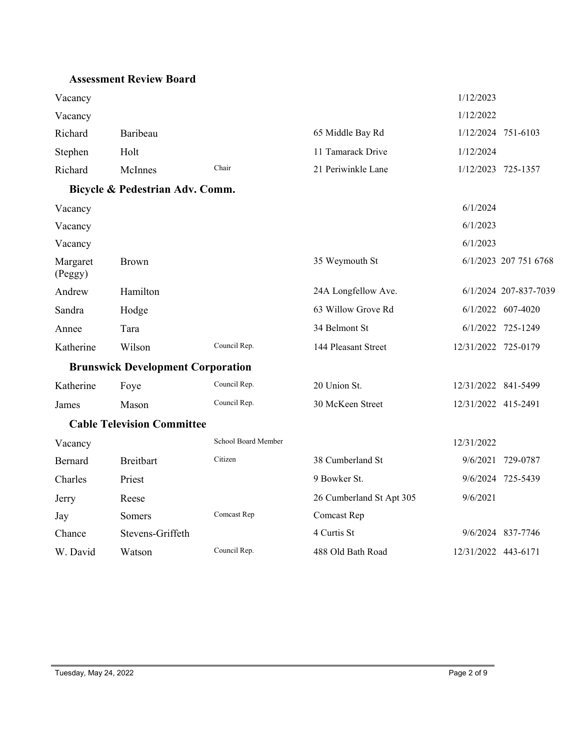#### **Assessment Review Board**

| Vacancy             |                                          |                     |                          | 1/12/2023           |                       |
|---------------------|------------------------------------------|---------------------|--------------------------|---------------------|-----------------------|
| Vacancy             |                                          |                     |                          | 1/12/2022           |                       |
| Richard             | Baribeau                                 |                     | 65 Middle Bay Rd         |                     | 1/12/2024 751-6103    |
| Stephen             | Holt                                     |                     | 11 Tamarack Drive        | 1/12/2024           |                       |
| Richard             | McInnes                                  | Chair               | 21 Periwinkle Lane       |                     | 1/12/2023 725-1357    |
|                     | Bicycle & Pedestrian Adv. Comm.          |                     |                          |                     |                       |
| Vacancy             |                                          |                     |                          | 6/1/2024            |                       |
| Vacancy             |                                          |                     |                          | 6/1/2023            |                       |
| Vacancy             |                                          |                     |                          | 6/1/2023            |                       |
| Margaret<br>(Peggy) | <b>Brown</b>                             |                     | 35 Weymouth St           |                     | 6/1/2023 207 751 6768 |
| Andrew              | Hamilton                                 |                     | 24A Longfellow Ave.      |                     | 6/1/2024 207-837-7039 |
| Sandra              | Hodge                                    |                     | 63 Willow Grove Rd       |                     | 6/1/2022 607-4020     |
| Annee               | Tara                                     |                     | 34 Belmont St            |                     | 6/1/2022 725-1249     |
| Katherine           | Wilson                                   | Council Rep.        | 144 Pleasant Street      | 12/31/2022 725-0179 |                       |
|                     | <b>Brunswick Development Corporation</b> |                     |                          |                     |                       |
| Katherine           | Foye                                     | Council Rep.        | 20 Union St.             | 12/31/2022 841-5499 |                       |
| James               | Mason                                    | Council Rep.        | 30 McKeen Street         | 12/31/2022 415-2491 |                       |
|                     | <b>Cable Television Committee</b>        |                     |                          |                     |                       |
| Vacancy             |                                          | School Board Member |                          | 12/31/2022          |                       |
| Bernard             | <b>Breitbart</b>                         | Citizen             | 38 Cumberland St         | 9/6/2021            | 729-0787              |
| Charles             | Priest                                   |                     | 9 Bowker St.             |                     | 9/6/2024 725-5439     |
| Jerry               | Reese                                    |                     | 26 Cumberland St Apt 305 | 9/6/2021            |                       |
| Jay                 | Somers                                   | Comcast Rep         | Comcast Rep              |                     |                       |
| Chance              | Stevens-Griffeth                         |                     | 4 Curtis St              |                     | 9/6/2024 837-7746     |
| W. David            | Watson                                   | Council Rep.        | 488 Old Bath Road        | 12/31/2022 443-6171 |                       |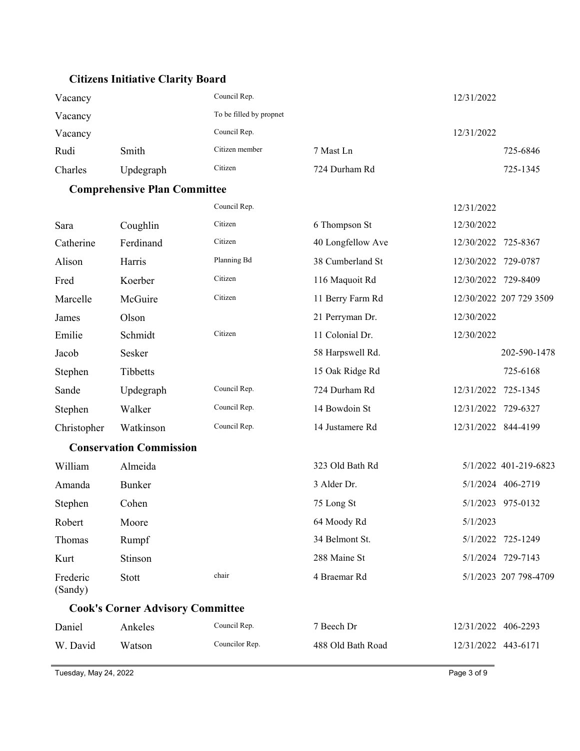## **Citizens Initiative Clarity Board**

| Vacancy |           | Council Rep.            |               | 12/31/2022 |
|---------|-----------|-------------------------|---------------|------------|
| Vacancy |           | To be filled by propnet |               |            |
| Vacancy |           | Council Rep.            |               | 12/31/2022 |
| Rudi    | Smith     | Citizen member          | 7 Mast Ln     | 725-6846   |
| Charles | Updegraph | Citizen                 | 724 Durham Rd | 725-1345   |

## **Comprehensive Plan Committee**

|                     |                                         | Council Rep.   |                   | 12/31/2022          |                         |
|---------------------|-----------------------------------------|----------------|-------------------|---------------------|-------------------------|
| Sara                | Coughlin                                | Citizen        | 6 Thompson St     | 12/30/2022          |                         |
| Catherine           | Ferdinand                               | Citizen        | 40 Longfellow Ave | 12/30/2022 725-8367 |                         |
| Alison              | Harris                                  | Planning Bd    | 38 Cumberland St  | 12/30/2022 729-0787 |                         |
| Fred                | Koerber                                 | Citizen        | 116 Maquoit Rd    | 12/30/2022          | 729-8409                |
| Marcelle            | McGuire                                 | Citizen        | 11 Berry Farm Rd  |                     | 12/30/2022 207 729 3509 |
| James               | Olson                                   |                | 21 Perryman Dr.   | 12/30/2022          |                         |
| Emilie              | Schmidt                                 | Citizen        | 11 Colonial Dr.   | 12/30/2022          |                         |
| Jacob               | Sesker                                  |                | 58 Harpswell Rd.  |                     | 202-590-1478            |
| Stephen             | Tibbetts                                |                | 15 Oak Ridge Rd   |                     | 725-6168                |
| Sande               | Updegraph                               | Council Rep.   | 724 Durham Rd     | 12/31/2022          | 725-1345                |
| Stephen             | Walker                                  | Council Rep.   | 14 Bowdoin St     | 12/31/2022 729-6327 |                         |
| Christopher         | Watkinson                               | Council Rep.   | 14 Justamere Rd   | 12/31/2022 844-4199 |                         |
|                     | <b>Conservation Commission</b>          |                |                   |                     |                         |
| William             | Almeida                                 |                | 323 Old Bath Rd   |                     | 5/1/2022 401-219-6823   |
| Amanda              | Bunker                                  |                | 3 Alder Dr.       |                     | 5/1/2024 406-2719       |
| Stephen             | Cohen                                   |                | 75 Long St        |                     | 5/1/2023 975-0132       |
| Robert              | Moore                                   |                | 64 Moody Rd       | 5/1/2023            |                         |
| Thomas              | Rumpf                                   |                | 34 Belmont St.    |                     | 5/1/2022 725-1249       |
| Kurt                | Stinson                                 |                | 288 Maine St      |                     | 5/1/2024 729-7143       |
| Frederic<br>(Sandy) | Stott                                   | chair          | 4 Braemar Rd      |                     | 5/1/2023 207 798-4709   |
|                     | <b>Cook's Corner Advisory Committee</b> |                |                   |                     |                         |
| Daniel              | Ankeles                                 | Council Rep.   | 7 Beech Dr        | 12/31/2022 406-2293 |                         |
| W. David            | Watson                                  | Councilor Rep. | 488 Old Bath Road | 12/31/2022 443-6171 |                         |

Tuesday, May 24, 2022 Page 3 of 9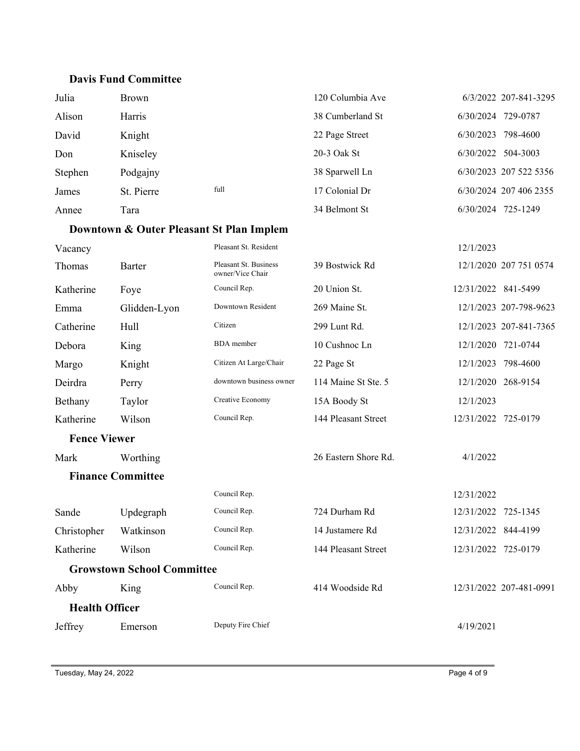### **Davis Fund Committee**

| Julia   | Brown      |      | 120 Columbia Ave | 6/3/2022 207-841-3295  |
|---------|------------|------|------------------|------------------------|
| Alison  | Harris     |      | 38 Cumberland St | 729-0787<br>6/30/2024  |
| David   | Knight     |      | 22 Page Street   | 798-4600<br>6/30/2023  |
| Don     | Kniseley   |      | 20-3 Oak St      | 504-3003<br>6/30/2022  |
| Stephen | Podgajny   |      | 38 Sparwell Ln   | 6/30/2023 207 522 5356 |
| James   | St. Pierre | full | 17 Colonial Dr   | 6/30/2024 207 406 2355 |
| Annee   | Tara       |      | 34 Belmont St    | 6/30/2024<br>725-1249  |

## **Downtown & Outer Pleasant St Plan Implem**

| Vacancy                  |                                   | Pleasant St. Resident                     |                      | 12/1/2023           |                         |
|--------------------------|-----------------------------------|-------------------------------------------|----------------------|---------------------|-------------------------|
| Thomas                   | Barter                            | Pleasant St. Business<br>owner/Vice Chair | 39 Bostwick Rd       |                     | 12/1/2020 207 751 0574  |
| Katherine                | Foye                              | Council Rep.                              | 20 Union St.         | 12/31/2022 841-5499 |                         |
| Emma                     | Glidden-Lyon                      | Downtown Resident                         | 269 Maine St.        |                     | 12/1/2023 207-798-9623  |
| Catherine                | Hull                              | Citizen                                   | 299 Lunt Rd.         |                     | 12/1/2023 207-841-7365  |
| Debora                   | King                              | <b>BDA</b> member                         | 10 Cushnoc Ln        |                     | 12/1/2020 721-0744      |
| Margo                    | Knight                            | Citizen At Large/Chair                    | 22 Page St           | 12/1/2023           | 798-4600                |
| Deirdra                  | Perry                             | downtown business owner                   | 114 Maine St Ste. 5  |                     | 12/1/2020 268-9154      |
| Bethany                  | Taylor                            | Creative Economy                          | 15A Boody St         | 12/1/2023           |                         |
| Katherine                | Wilson                            | Council Rep.                              | 144 Pleasant Street  | 12/31/2022 725-0179 |                         |
| <b>Fence Viewer</b>      |                                   |                                           |                      |                     |                         |
| Mark                     | Worthing                          |                                           | 26 Eastern Shore Rd. | 4/1/2022            |                         |
| <b>Finance Committee</b> |                                   |                                           |                      |                     |                         |
|                          |                                   | Council Rep.                              |                      | 12/31/2022          |                         |
| Sande                    | Updegraph                         | Council Rep.                              | 724 Durham Rd        | 12/31/2022          | 725-1345                |
| Christopher              | Watkinson                         | Council Rep.                              | 14 Justamere Rd      | 12/31/2022 844-4199 |                         |
| Katherine                | Wilson                            | Council Rep.                              | 144 Pleasant Street  | 12/31/2022 725-0179 |                         |
|                          | <b>Growstown School Committee</b> |                                           |                      |                     |                         |
| Abby                     | King                              | Council Rep.                              | 414 Woodside Rd      |                     | 12/31/2022 207-481-0991 |
| <b>Health Officer</b>    |                                   |                                           |                      |                     |                         |
| Jeffrey                  | Emerson                           | Deputy Fire Chief                         |                      | 4/19/2021           |                         |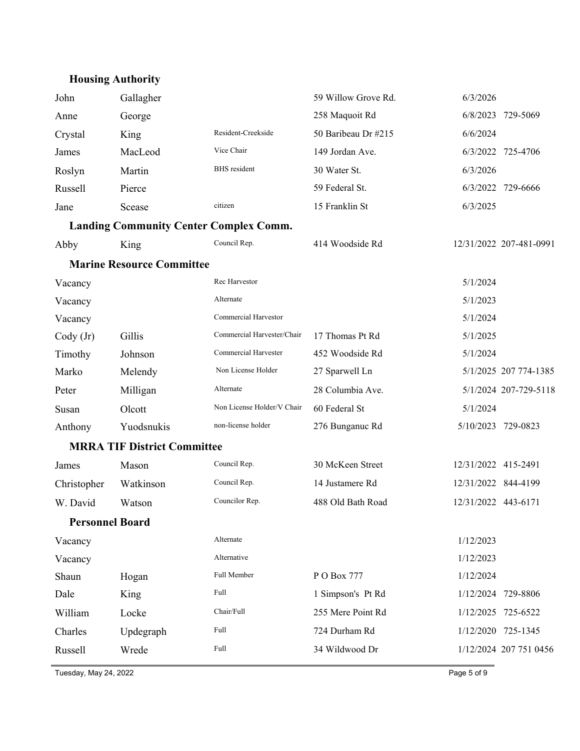# **Housing Authority**

| John                   | Gallagher                                     |                            | 59 Willow Grove Rd. | 6/3/2026            |                         |
|------------------------|-----------------------------------------------|----------------------------|---------------------|---------------------|-------------------------|
| Anne                   | George                                        |                            | 258 Maquoit Rd      | 6/8/2023            | 729-5069                |
| Crystal                | King                                          | Resident-Creekside         | 50 Baribeau Dr #215 | 6/6/2024            |                         |
| James                  | MacLeod                                       | Vice Chair                 | 149 Jordan Ave.     |                     | 6/3/2022 725-4706       |
| Roslyn                 | Martin                                        | <b>BHS</b> resident        | 30 Water St.        | 6/3/2026            |                         |
| Russell                | Pierce                                        |                            | 59 Federal St.      |                     | 6/3/2022 729-6666       |
| Jane                   | Scease                                        | citizen                    | 15 Franklin St      | 6/3/2025            |                         |
|                        | <b>Landing Community Center Complex Comm.</b> |                            |                     |                     |                         |
| Abby                   | King                                          | Council Rep.               | 414 Woodside Rd     |                     | 12/31/2022 207-481-0991 |
|                        | <b>Marine Resource Committee</b>              |                            |                     |                     |                         |
| Vacancy                |                                               | Rec Harvestor              |                     | 5/1/2024            |                         |
| Vacancy                |                                               | Alternate                  |                     | 5/1/2023            |                         |
| Vacancy                |                                               | Commercial Harvestor       |                     | 5/1/2024            |                         |
| $\text{Cody (Jr)}$     | Gillis                                        | Commercial Harvester/Chair | 17 Thomas Pt Rd     | 5/1/2025            |                         |
| Timothy                | Johnson                                       | Commercial Harvester       | 452 Woodside Rd     | 5/1/2024            |                         |
| Marko                  | Melendy                                       | Non License Holder         | 27 Sparwell Ln      |                     | 5/1/2025 207 774-1385   |
| Peter                  | Milligan                                      | Alternate                  | 28 Columbia Ave.    |                     | 5/1/2024 207-729-5118   |
| Susan                  | Olcott                                        | Non License Holder/V Chair | 60 Federal St       | 5/1/2024            |                         |
| Anthony                | Yuodsnukis                                    | non-license holder         | 276 Bunganuc Rd     |                     | 5/10/2023 729-0823      |
|                        | <b>MRRA TIF District Committee</b>            |                            |                     |                     |                         |
| James                  | Mason                                         | Council Rep.               | 30 McKeen Street    | 12/31/2022 415-2491 |                         |
| Christopher            | Watkinson                                     | Council Rep.               | 14 Justamere Rd     | 12/31/2022 844-4199 |                         |
| W. David               | Watson                                        | Councilor Rep.             | 488 Old Bath Road   | 12/31/2022 443-6171 |                         |
| <b>Personnel Board</b> |                                               |                            |                     |                     |                         |
| Vacancy                |                                               | Alternate                  |                     | 1/12/2023           |                         |
| Vacancy                |                                               | Alternative                |                     | 1/12/2023           |                         |
| Shaun                  | Hogan                                         | Full Member                | P O Box 777         | 1/12/2024           |                         |
| Dale                   | King                                          | Full                       | 1 Simpson's Pt Rd   | 1/12/2024           | 729-8806                |
| William                | Locke                                         | Chair/Full                 | 255 Mere Point Rd   | 1/12/2025           | 725-6522                |
| Charles                | Updegraph                                     | Full                       | 724 Durham Rd       |                     | 1/12/2020 725-1345      |
| Russell                | Wrede                                         | Full                       | 34 Wildwood Dr      |                     | 1/12/2024 207 751 0456  |
|                        |                                               |                            |                     |                     |                         |

Tuesday, May 24, 2022 Page 5 of 9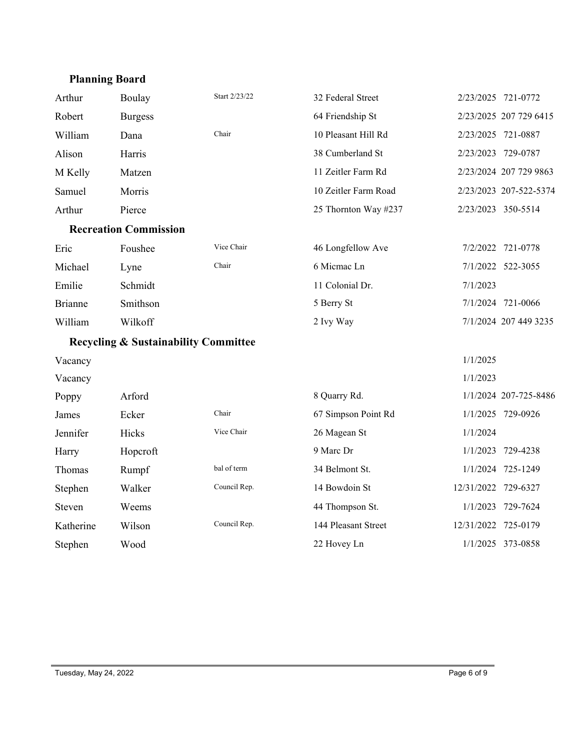## **Planning Board**

| Arthur         | Boulay                                          | Start 2/23/22 | 32 Federal Street    | 2/23/2025 721-0772  |                        |
|----------------|-------------------------------------------------|---------------|----------------------|---------------------|------------------------|
| Robert         | <b>Burgess</b>                                  |               | 64 Friendship St     |                     | 2/23/2025 207 729 6415 |
| William        | Dana                                            | Chair         | 10 Pleasant Hill Rd  | 2/23/2025 721-0887  |                        |
| Alison         | Harris                                          |               | 38 Cumberland St     | 2/23/2023 729-0787  |                        |
| M Kelly        | Matzen                                          |               | 11 Zeitler Farm Rd   |                     | 2/23/2024 207 729 9863 |
| Samuel         | Morris                                          |               | 10 Zeitler Farm Road |                     | 2/23/2023 207-522-5374 |
| Arthur         | Pierce                                          |               | 25 Thornton Way #237 | 2/23/2023 350-5514  |                        |
|                | <b>Recreation Commission</b>                    |               |                      |                     |                        |
| Eric           | Foushee                                         | Vice Chair    | 46 Longfellow Ave    |                     | 7/2/2022 721-0778      |
| Michael        | Lyne                                            | Chair         | 6 Micmac Ln          |                     | 7/1/2022 522-3055      |
| Emilie         | Schmidt                                         |               | 11 Colonial Dr.      | 7/1/2023            |                        |
| <b>Brianne</b> | Smithson                                        |               | 5 Berry St           |                     | 7/1/2024 721-0066      |
| William        | Wilkoff                                         |               | 2 Ivy Way            |                     | 7/1/2024 207 449 3235  |
|                | <b>Recycling &amp; Sustainability Committee</b> |               |                      |                     |                        |
| Vacancy        |                                                 |               |                      | 1/1/2025            |                        |
| Vacancy        |                                                 |               |                      | 1/1/2023            |                        |
| Poppy          | Arford                                          |               | 8 Quarry Rd.         |                     | 1/1/2024 207-725-8486  |
| James          | Ecker                                           | Chair         | 67 Simpson Point Rd  |                     | 1/1/2025 729-0926      |
| Jennifer       | Hicks                                           | Vice Chair    | 26 Magean St         | 1/1/2024            |                        |
| Harry          | Hopcroft                                        |               | 9 Marc Dr            | 1/1/2023            | 729-4238               |
| Thomas         | Rumpf                                           | bal of term   | 34 Belmont St.       |                     | 1/1/2024 725-1249      |
| Stephen        | Walker                                          | Council Rep.  | 14 Bowdoin St        | 12/31/2022 729-6327 |                        |
| Steven         | Weems                                           |               | 44 Thompson St.      |                     | 1/1/2023 729-7624      |
| Katherine      | Wilson                                          | Council Rep.  | 144 Pleasant Street  | 12/31/2022 725-0179 |                        |
| Stephen        | Wood                                            |               | 22 Hovey Ln          |                     | 1/1/2025 373-0858      |
|                |                                                 |               |                      |                     |                        |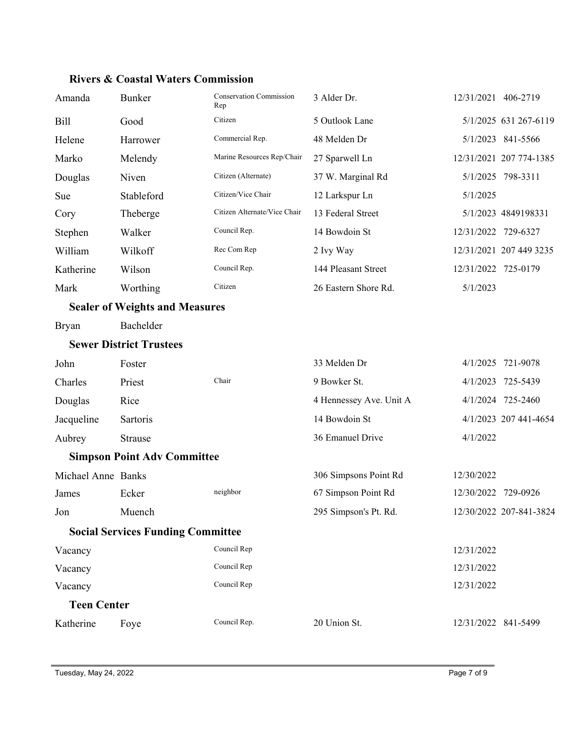| Amanda             | <b>Bunker</b>                            | Conservation Commission<br>Rep | 3 Alder Dr.             | 12/31/2021 406-2719 |                         |
|--------------------|------------------------------------------|--------------------------------|-------------------------|---------------------|-------------------------|
| <b>Bill</b>        | Good                                     | Citizen                        | 5 Outlook Lane          |                     | 5/1/2025 631 267-6119   |
| Helene             | Harrower                                 | Commercial Rep.                | 48 Melden Dr            |                     | 5/1/2023 841-5566       |
| Marko              | Melendy                                  | Marine Resources Rep/Chair     | 27 Sparwell Ln          |                     | 12/31/2021 207 774-1385 |
| Douglas            | Niven                                    | Citizen (Alternate)            | 37 W. Marginal Rd       |                     | 5/1/2025 798-3311       |
| Sue                | Stableford                               | Citizen/Vice Chair             | 12 Larkspur Ln          | 5/1/2025            |                         |
| Cory               | Theberge                                 | Citizen Alternate/Vice Chair   | 13 Federal Street       |                     | 5/1/2023 4849198331     |
| Stephen            | Walker                                   | Council Rep.                   | 14 Bowdoin St           | 12/31/2022 729-6327 |                         |
| William            | Wilkoff                                  | Rec Com Rep                    | 2 Ivy Way               |                     | 12/31/2021 207 449 3235 |
| Katherine          | Wilson                                   | Council Rep.                   | 144 Pleasant Street     | 12/31/2022 725-0179 |                         |
| Mark               | Worthing                                 | Citizen                        | 26 Eastern Shore Rd.    | 5/1/2023            |                         |
|                    | <b>Sealer of Weights and Measures</b>    |                                |                         |                     |                         |
| <b>Bryan</b>       | Bachelder                                |                                |                         |                     |                         |
|                    | <b>Sewer District Trustees</b>           |                                |                         |                     |                         |
| John               | Foster                                   |                                | 33 Melden Dr            |                     | 4/1/2025 721-9078       |
| Charles            | Priest                                   | Chair                          | 9 Bowker St.            |                     | 4/1/2023 725-5439       |
| Douglas            | Rice                                     |                                | 4 Hennessey Ave. Unit A |                     | 4/1/2024 725-2460       |
| Jacqueline         | Sartoris                                 |                                | 14 Bowdoin St           |                     | 4/1/2023 207 441-4654   |
| Aubrey             | Strause                                  |                                | 36 Emanuel Drive        | 4/1/2022            |                         |
|                    | <b>Simpson Point Adv Committee</b>       |                                |                         |                     |                         |
| Michael Anne Banks |                                          |                                | 306 Simpsons Point Rd   | 12/30/2022          |                         |
| James              | Ecker                                    | neighbor                       | 67 Simpson Point Rd     | 12/30/2022 729-0926 |                         |
| Jon                | Muench                                   |                                | 295 Simpson's Pt. Rd.   |                     | 12/30/2022 207-841-3824 |
|                    | <b>Social Services Funding Committee</b> |                                |                         |                     |                         |
| Vacancy            |                                          | Council Rep                    |                         | 12/31/2022          |                         |
| Vacancy            |                                          | Council Rep                    |                         | 12/31/2022          |                         |
| Vacancy            |                                          | Council Rep                    |                         | 12/31/2022          |                         |
| <b>Teen Center</b> |                                          |                                |                         |                     |                         |
| Katherine          | Foye                                     | Council Rep.                   | 20 Union St.            | 12/31/2022 841-5499 |                         |

### **Rivers & Coastal Waters Commission**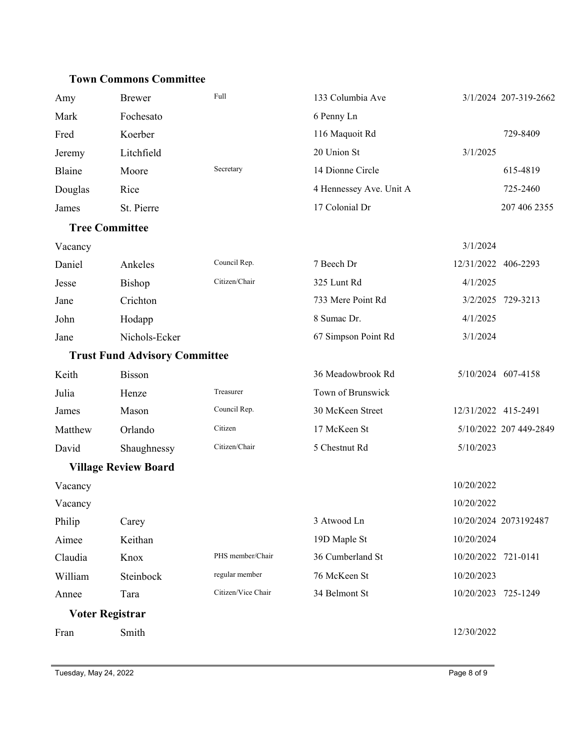#### **Town Commons Committee**

| Amy     | <b>Brewer</b>                        | Full               | 133 Columbia Ave        | 3/1/2024 207-319-2662  |
|---------|--------------------------------------|--------------------|-------------------------|------------------------|
| Mark    | Fochesato                            |                    | 6 Penny Ln              |                        |
| Fred    | Koerber                              |                    | 116 Maquoit Rd          | 729-8409               |
| Jeremy  | Litchfield                           |                    | 20 Union St             | 3/1/2025               |
| Blaine  | Moore                                | Secretary          | 14 Dionne Circle        | 615-4819               |
| Douglas | Rice                                 |                    | 4 Hennessey Ave. Unit A | 725-2460               |
| James   | St. Pierre                           |                    | 17 Colonial Dr          | 207 406 2355           |
|         | <b>Tree Committee</b>                |                    |                         |                        |
| Vacancy |                                      |                    |                         | 3/1/2024               |
| Daniel  | Ankeles                              | Council Rep.       | 7 Beech Dr              | 12/31/2022 406-2293    |
| Jesse   | Bishop                               | Citizen/Chair      | 325 Lunt Rd             | 4/1/2025               |
| Jane    | Crichton                             |                    | 733 Mere Point Rd       | 3/2/2025 729-3213      |
| John    | Hodapp                               |                    | 8 Sumac Dr.             | 4/1/2025               |
| Jane    | Nichols-Ecker                        |                    | 67 Simpson Point Rd     | 3/1/2024               |
|         | <b>Trust Fund Advisory Committee</b> |                    |                         |                        |
| Keith   | Bisson                               |                    | 36 Meadowbrook Rd       | 5/10/2024 607-4158     |
| Julia   | Henze                                | Treasurer          | Town of Brunswick       |                        |
| James   | Mason                                | Council Rep.       | 30 McKeen Street        | 12/31/2022 415-2491    |
| Matthew | Orlando                              | Citizen            | 17 McKeen St            | 5/10/2022 207 449-2849 |
| David   | Shaughnessy                          | Citizen/Chair      | 5 Chestnut Rd           | 5/10/2023              |
|         | <b>Village Review Board</b>          |                    |                         |                        |
| Vacancy |                                      |                    |                         | 10/20/2022             |
| Vacancy |                                      |                    |                         | 10/20/2022             |
| Philip  | Carey                                |                    | 3 Atwood Ln             | 10/20/2024 2073192487  |
| Aimee   | Keithan                              |                    | 19D Maple St            | 10/20/2024             |
| Claudia | Knox                                 | PHS member/Chair   | 36 Cumberland St        | 10/20/2022 721-0141    |
| William | Steinbock                            | regular member     | 76 McKeen St            | 10/20/2023             |
| Annee   | Tara                                 | Citizen/Vice Chair | 34 Belmont St           | 10/20/2023 725-1249    |
|         | Voter Registrar                      |                    |                         |                        |
| Fran    | Smith                                |                    |                         | 12/30/2022             |
|         |                                      |                    |                         |                        |